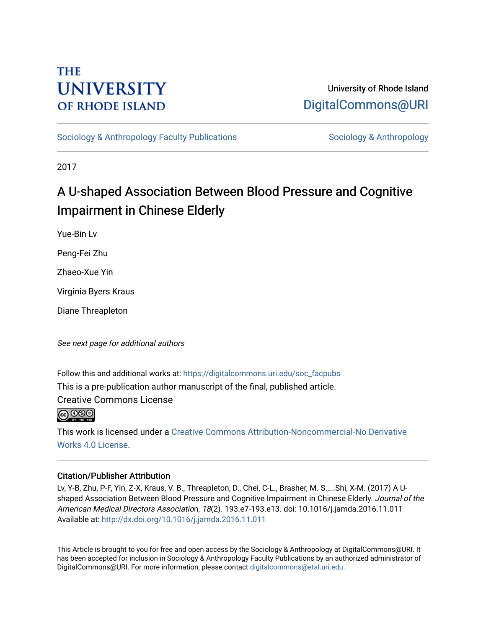# **THE UNIVERSITY OF RHODE ISLAND**

## University of Rhode Island [DigitalCommons@URI](https://digitalcommons.uri.edu/)

[Sociology & Anthropology Faculty Publications](https://digitalcommons.uri.edu/soc_facpubs) [Sociology & Anthropology](https://digitalcommons.uri.edu/soc) & Anthropology

2017

# A U-shaped Association Between Blood Pressure and Cognitive Impairment in Chinese Elderly

Yue-Bin Lv

Peng-Fei Zhu

Zhaeo-Xue Yin

Virginia Byers Kraus

Diane Threapleton

See next page for additional authors

Follow this and additional works at: [https://digitalcommons.uri.edu/soc\\_facpubs](https://digitalcommons.uri.edu/soc_facpubs?utm_source=digitalcommons.uri.edu%2Fsoc_facpubs%2F29&utm_medium=PDF&utm_campaign=PDFCoverPages)  This is a pre-publication author manuscript of the final, published article. Creative Commons License

 $\bigcirc$  000

This work is licensed under a [Creative Commons Attribution-Noncommercial-No Derivative](https://creativecommons.org/licenses/by-nc-nd/4.0/)  [Works 4.0 License](https://creativecommons.org/licenses/by-nc-nd/4.0/).

#### Citation/Publisher Attribution

Lv, Y-B, Zhu, P-F, Yin, Z-X, Kraus, V. B., Threapleton, D., Chei, C-L., Brasher, M. S.,...Shi, X-M. (2017) A Ushaped Association Between Blood Pressure and Cognitive Impairment in Chinese Elderly. Journal of the American Medical Directors Association, 18(2). 193.e7-193.e13. doi: 10.1016/j.jamda.2016.11.011 Available at:<http://dx.doi.org/10.1016/j.jamda.2016.11.011>

This Article is brought to you for free and open access by the Sociology & Anthropology at DigitalCommons@URI. It has been accepted for inclusion in Sociology & Anthropology Faculty Publications by an authorized administrator of DigitalCommons@URI. For more information, please contact [digitalcommons@etal.uri.edu.](mailto:digitalcommons@etal.uri.edu)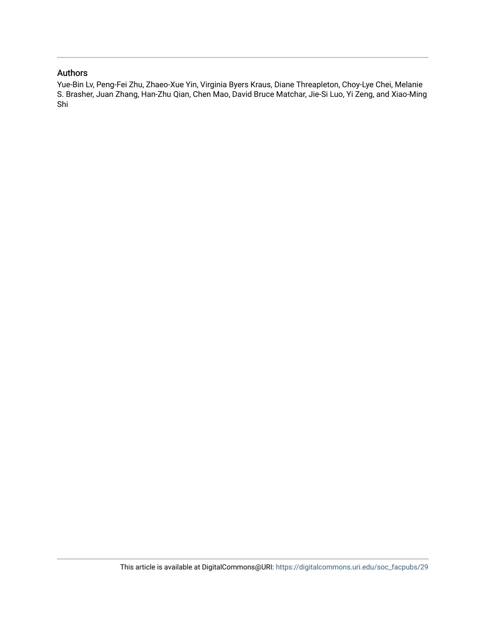#### Authors

Yue-Bin Lv, Peng-Fei Zhu, Zhaeo-Xue Yin, Virginia Byers Kraus, Diane Threapleton, Choy-Lye Chei, Melanie S. Brasher, Juan Zhang, Han-Zhu Qian, Chen Mao, David Bruce Matchar, Jie-Si Luo, Yi Zeng, and Xiao-Ming Shi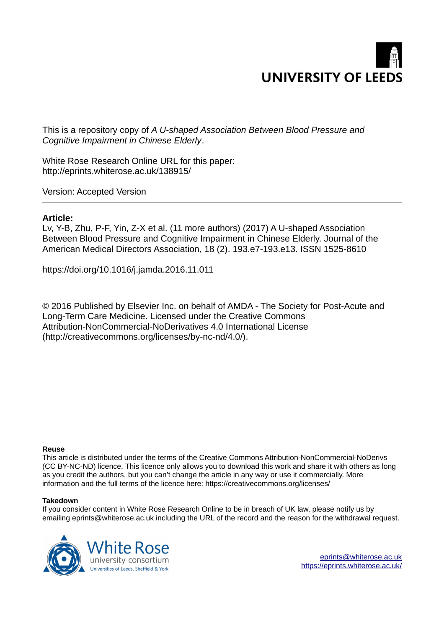

This is a repository copy of *A U-shaped Association Between Blood Pressure and Cognitive Impairment in Chinese Elderly*.

White Rose Research Online URL for this paper: http://eprints.whiterose.ac.uk/138915/

Version: Accepted Version

#### **Article:**

Lv, Y-B, Zhu, P-F, Yin, Z-X et al. (11 more authors) (2017) A U-shaped Association Between Blood Pressure and Cognitive Impairment in Chinese Elderly. Journal of the American Medical Directors Association, 18 (2). 193.e7-193.e13. ISSN 1525-8610

https://doi.org/10.1016/j.jamda.2016.11.011

© 2016 Published by Elsevier Inc. on behalf of AMDA - The Society for Post-Acute and Long-Term Care Medicine. Licensed under the Creative Commons Attribution-NonCommercial-NoDerivatives 4.0 International License (http://creativecommons.org/licenses/by-nc-nd/4.0/).

#### **Reuse**

This article is distributed under the terms of the Creative Commons Attribution-NonCommercial-NoDerivs (CC BY-NC-ND) licence. This licence only allows you to download this work and share it with others as long as you credit the authors, but you can't change the article in any way or use it commercially. More information and the full terms of the licence here: https://creativecommons.org/licenses/

#### **Takedown**

If you consider content in White Rose Research Online to be in breach of UK law, please notify us by emailing eprints@whiterose.ac.uk including the URL of the record and the reason for the withdrawal request.



[eprints@whiterose.ac.uk](mailto:eprints@whiterose.ac.uk) <https://eprints.whiterose.ac.uk/>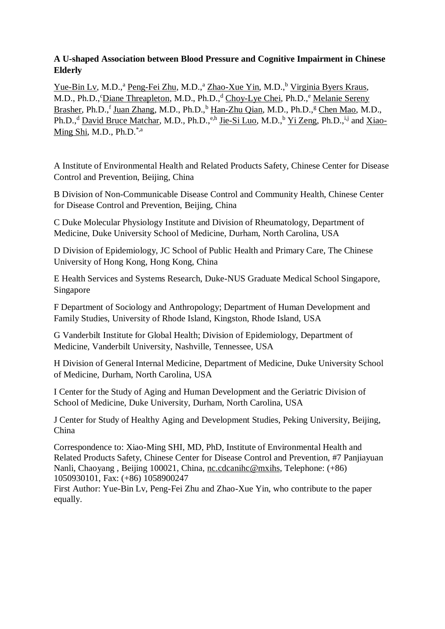#### **A U-shaped Association between Blood Pressure and Cognitive Impairment in Chinese Elderly**

Yue-Bin Lv, M.D.,<sup>a</sup> Peng-Fei Zhu, M.D.,<sup>a</sup> Zhao-Xue Yin, M.D.,<sup>b</sup> Virginia Byers Kraus, M.D., Ph.D., <sup>c</sup>Diane Threapleton, M.D., Ph.D.,<sup>d</sup> Choy-Lye Chei, Ph.D.,<sup>e</sup> Melanie Sereny Brasher, Ph.D.,<sup>f</sup> Juan Zhang, M.D., Ph.D.,<sup>b</sup> Han-Zhu Qian, M.D., Ph.D.,<sup>g</sup> Chen Mao, M.D., Ph.D.,<sup>d</sup> David Bruce Matchar, M.D., Ph.D.,<sup>e,h</sup> Jie-Si Luo, M.D.,<sup>b</sup> Yi Zeng, Ph.D.,<sup>i,j</sup> and Xiao-Ming Shi, M.D., Ph.D.\*,a

A Institute of Environmental Health and Related Products Safety, Chinese Center for Disease Control and Prevention, Beijing, China

B Division of Non-Communicable Disease Control and Community Health, Chinese Center for Disease Control and Prevention, Beijing, China

C Duke Molecular Physiology Institute and Division of Rheumatology, Department of Medicine, Duke University School of Medicine, Durham, North Carolina, USA

D Division of Epidemiology, JC School of Public Health and Primary Care, The Chinese University of Hong Kong, Hong Kong, China

E Health Services and Systems Research, Duke-NUS Graduate Medical School Singapore, Singapore

F Department of Sociology and Anthropology; Department of Human Development and Family Studies, University of Rhode Island, Kingston, Rhode Island, USA

G Vanderbilt Institute for Global Health; Division of Epidemiology, Department of Medicine, Vanderbilt University, Nashville, Tennessee, USA

H Division of General Internal Medicine, Department of Medicine, Duke University School of Medicine, Durham, North Carolina, USA

I Center for the Study of Aging and Human Development and the Geriatric Division of School of Medicine, Duke University, Durham, North Carolina, USA

J Center for Study of Healthy Aging and Development Studies, Peking University, Beijing, China

Correspondence to: Xiao-Ming SHI, MD, PhD, Institute of Environmental Health and Related Products Safety, Chinese Center for Disease Control and Prevention, #7 Panjiayuan Nanli, Chaoyang , Beijing 100021, China, nc.cdcanihc@mxihs, Telephone: (+86) 1050930101, Fax: (+86) 1058900247

First Author: Yue-Bin Lv, Peng-Fei Zhu and Zhao-Xue Yin, who contribute to the paper equally.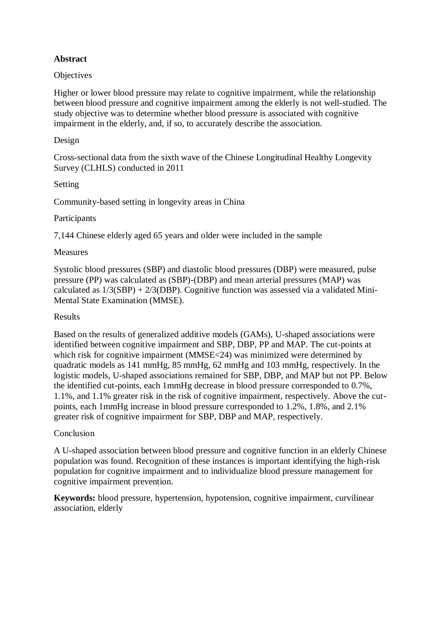#### **Abstract**

#### **Objectives**

Higher or lower blood pressure may relate to cognitive impairment, while the relationship between blood pressure and cognitive impairment among the elderly is not well-studied. The study objective was to determine whether blood pressure is associated with cognitive impairment in the elderly, and, if so, to accurately describe the association.

#### Design

Cross-sectional data from the sixth wave of the Chinese Longitudinal Healthy Longevity Survey (CLHLS) conducted in 2011

Setting

Community-based setting in longevity areas in China

#### Participants

7,144 Chinese elderly aged 65 years and older were included in the sample

#### **Measures**

Systolic blood pressures (SBP) and diastolic blood pressures (DBP) were measured, pulse pressure (PP) was calculated as (SBP)-(DBP) and mean arterial pressures (MAP) was calculated as  $1/3(SBP) + 2/3(DBP)$ . Cognitive function was assessed via a validated Mini-Mental State Examination (MMSE).

#### Results

Based on the results of generalized additive models (GAMs), U-shaped associations were identified between cognitive impairment and SBP, DBP, PP and MAP. The cut-points at which risk for cognitive impairment (MMSE<24) was minimized were determined by quadratic models as 141 mmHg, 85 mmHg, 62 mmHg and 103 mmHg, respectively. In the logistic models, U-shaped associations remained for SBP, DBP, and MAP but not PP. Below the identified cut-points, each 1mmHg decrease in blood pressure corresponded to 0.7%, 1.1%, and 1.1% greater risk in the risk of cognitive impairment, respectively. Above the cutpoints, each 1mmHg increase in blood pressure corresponded to 1.2%, 1.8%, and 2.1% greater risk of cognitive impairment for SBP, DBP and MAP, respectively.

#### Conclusion

A U-shaped association between blood pressure and cognitive function in an elderly Chinese population was found. Recognition of these instances is important identifying the high-risk population for cognitive impairment and to individualize blood pressure management for cognitive impairment prevention.

**Keywords:** blood pressure, hypertension, hypotension, cognitive impairment, curvilinear association, elderly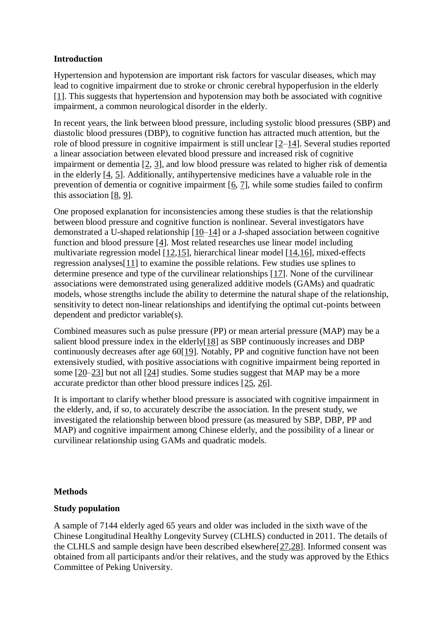#### **Introduction**

Hypertension and hypotension are important risk factors for vascular diseases, which may lead to cognitive impairment due to stroke or chronic cerebral hypoperfusion in the elderly [1]. This suggests that hypertension and hypotension may both be associated with cognitive impairment, a common neurological disorder in the elderly.

In recent years, the link between blood pressure, including systolic blood pressures (SBP) and diastolic blood pressures (DBP), to cognitive function has attracted much attention, but the role of blood pressure in cognitive impairment is still unclear [2–14]. Several studies reported a linear association between elevated blood pressure and increased risk of cognitive impairment or dementia [2, 3], and low blood pressure was related to higher risk of dementia in the elderly [4, 5]. Additionally, antihypertensive medicines have a valuable role in the prevention of dementia or cognitive impairment  $[6, 7]$ , while some studies failed to confirm this association [8, 9].

One proposed explanation for inconsistencies among these studies is that the relationship between blood pressure and cognitive function is nonlinear. Several investigators have demonstrated a U-shaped relationship [10–14] or a J-shaped association between cognitive function and blood pressure [4]. Most related researches use linear model including multivariate regression model [12,15], hierarchical linear model [14,16], mixed-effects regression analyses[11] to examine the possible relations. Few studies use splines to determine presence and type of the curvilinear relationships [17]. None of the curvilinear associations were demonstrated using generalized additive models (GAMs) and quadratic models, whose strengths include the ability to determine the natural shape of the relationship, sensitivity to detect non-linear relationships and identifying the optimal cut-points between dependent and predictor variable(s).

Combined measures such as pulse pressure (PP) or mean arterial pressure (MAP) may be a salient blood pressure index in the elderly[18] as SBP continuously increases and DBP continuously decreases after age 60[19]. Notably, PP and cognitive function have not been extensively studied, with positive associations with cognitive impairment being reported in some [20–23] but not all [24] studies. Some studies suggest that MAP may be a more accurate predictor than other blood pressure indices [25, 26].

It is important to clarify whether blood pressure is associated with cognitive impairment in the elderly, and, if so, to accurately describe the association. In the present study, we investigated the relationship between blood pressure (as measured by SBP, DBP, PP and MAP) and cognitive impairment among Chinese elderly, and the possibility of a linear or curvilinear relationship using GAMs and quadratic models.

#### **Methods**

#### **Study population**

A sample of 7144 elderly aged 65 years and older was included in the sixth wave of the Chinese Longitudinal Healthy Longevity Survey (CLHLS) conducted in 2011. The details of the CLHLS and sample design have been described elsewhere[27,28]. Informed consent was obtained from all participants and/or their relatives, and the study was approved by the Ethics Committee of Peking University.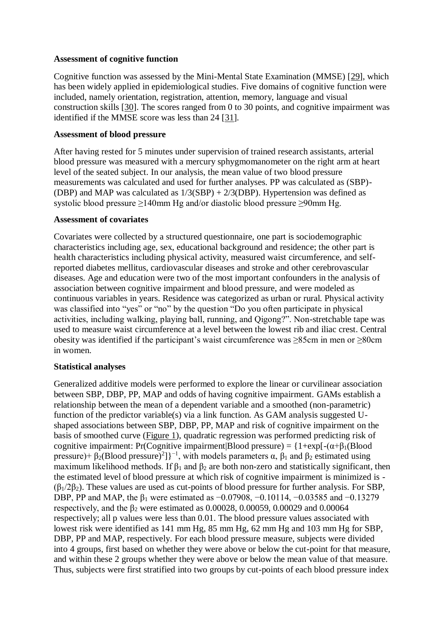#### **Assessment of cognitive function**

Cognitive function was assessed by the Mini-Mental State Examination (MMSE) [29], which has been widely applied in epidemiological studies. Five domains of cognitive function were included, namely orientation, registration, attention, memory, language and visual construction skills [30]. The scores ranged from 0 to 30 points, and cognitive impairment was identified if the MMSE score was less than 24 [31].

#### **Assessment of blood pressure**

After having rested for 5 minutes under supervision of trained research assistants, arterial blood pressure was measured with a mercury sphygmomanometer on the right arm at heart level of the seated subject. In our analysis, the mean value of two blood pressure measurements was calculated and used for further analyses. PP was calculated as (SBP)- (DBP) and MAP was calculated as  $1/3(SBP) + 2/3(DBP)$ . Hypertension was defined as systolic blood pressure ≥140mm Hg and/or diastolic blood pressure ≥90mm Hg.

#### **Assessment of covariates**

Covariates were collected by a structured questionnaire, one part is sociodemographic characteristics including age, sex, educational background and residence; the other part is health characteristics including physical activity, measured waist circumference, and selfreported diabetes mellitus, cardiovascular diseases and stroke and other cerebrovascular diseases. Age and education were two of the most important confounders in the analysis of association between cognitive impairment and blood pressure, and were modeled as continuous variables in years. Residence was categorized as urban or rural. Physical activity was classified into "yes" or "no" by the question "Do you often participate in physical activities, including walking, playing ball, running, and Qigong?". Non-stretchable tape was used to measure waist circumference at a level between the lowest rib and iliac crest. Central obesity was identified if the participant's waist circumference was ≥85cm in men or ≥80cm in women.

#### **Statistical analyses**

Generalized additive models were performed to explore the linear or curvilinear association between SBP, DBP, PP, MAP and odds of having cognitive impairment. GAMs establish a relationship between the mean of a dependent variable and a smoothed (non-parametric) function of the predictor variable(s) via a link function. As GAM analysis suggested Ushaped associations between SBP, DBP, PP, MAP and risk of cognitive impairment on the basis of smoothed curve (Figure 1), quadratic regression was performed predicting risk of cognitive impairment: Pr(Cognitive impairment|Blood pressure) =  $\{1+\exp[-(\alpha+\beta_1(Blood))\}]$ pressure)+  $\beta_2(Blood pressure)^2$ ]}<sup>-1</sup>, with models parameters  $\alpha$ ,  $\beta_1$  and  $\beta_2$  estimated using maximum likelihood methods. If  $\beta_1$  and  $\beta_2$  are both non-zero and statistically significant, then the estimated level of blood pressure at which risk of cognitive impairment is minimized is -  $(\beta_1/2\beta_2)$ . These values are used as cut-points of blood pressure for further analysis. For SBP, DBP, PP and MAP, the  $\beta_1$  were estimated as  $-0.07908$ ,  $-0.10114$ ,  $-0.03585$  and  $-0.13279$ respectively, and the  $\beta_2$  were estimated as 0.00028, 0.00059, 0.00029 and 0.00064 respectively; all p values were less than 0.01. The blood pressure values associated with lowest risk were identified as 141 mm Hg, 85 mm Hg, 62 mm Hg and 103 mm Hg for SBP, DBP, PP and MAP, respectively. For each blood pressure measure, subjects were divided into 4 groups, first based on whether they were above or below the cut-point for that measure, and within these 2 groups whether they were above or below the mean value of that measure. Thus, subjects were first stratified into two groups by cut-points of each blood pressure index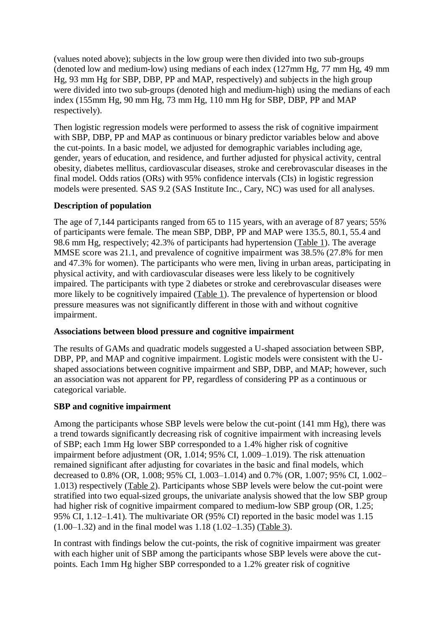(values noted above); subjects in the low group were then divided into two sub-groups (denoted low and medium-low) using medians of each index (127mm Hg, 77 mm Hg, 49 mm Hg, 93 mm Hg for SBP, DBP, PP and MAP, respectively) and subjects in the high group were divided into two sub-groups (denoted high and medium-high) using the medians of each index (155mm Hg, 90 mm Hg, 73 mm Hg, 110 mm Hg for SBP, DBP, PP and MAP respectively).

Then logistic regression models were performed to assess the risk of cognitive impairment with SBP, DBP, PP and MAP as continuous or binary predictor variables below and above the cut-points. In a basic model, we adjusted for demographic variables including age, gender, years of education, and residence, and further adjusted for physical activity, central obesity, diabetes mellitus, cardiovascular diseases, stroke and cerebrovascular diseases in the final model. Odds ratios (ORs) with 95% confidence intervals (CIs) in logistic regression models were presented. SAS 9.2 (SAS Institute Inc., Cary, NC) was used for all analyses.

#### **Description of population**

The age of 7,144 participants ranged from 65 to 115 years, with an average of 87 years; 55% of participants were female. The mean SBP, DBP, PP and MAP were 135.5, 80.1, 55.4 and 98.6 mm Hg, respectively; 42.3% of participants had hypertension (Table 1). The average MMSE score was 21.1, and prevalence of cognitive impairment was 38.5% (27.8% for men and 47.3% for women). The participants who were men, living in urban areas, participating in physical activity, and with cardiovascular diseases were less likely to be cognitively impaired. The participants with type 2 diabetes or stroke and cerebrovascular diseases were more likely to be cognitively impaired (Table 1). The prevalence of hypertension or blood pressure measures was not significantly different in those with and without cognitive impairment.

#### **Associations between blood pressure and cognitive impairment**

The results of GAMs and quadratic models suggested a U-shaped association between SBP, DBP, PP, and MAP and cognitive impairment. Logistic models were consistent with the Ushaped associations between cognitive impairment and SBP, DBP, and MAP; however, such an association was not apparent for PP, regardless of considering PP as a continuous or categorical variable.

#### **SBP and cognitive impairment**

Among the participants whose SBP levels were below the cut-point (141 mm Hg), there was a trend towards significantly decreasing risk of cognitive impairment with increasing levels of SBP; each 1mm Hg lower SBP corresponded to a 1.4% higher risk of cognitive impairment before adjustment (OR, 1.014; 95% CI, 1.009–1.019). The risk attenuation remained significant after adjusting for covariates in the basic and final models, which decreased to 0.8% (OR, 1.008; 95% CI, 1.003–1.014) and 0.7% (OR, 1.007; 95% CI, 1.002– 1.013) respectively (Table 2). Participants whose SBP levels were below the cut-point were stratified into two equal-sized groups, the univariate analysis showed that the low SBP group had higher risk of cognitive impairment compared to medium-low SBP group (OR, 1.25; 95% CI, 1.12–1.41). The multivariate OR (95% CI) reported in the basic model was 1.15 (1.00–1.32) and in the final model was 1.18 (1.02–1.35) (Table 3).

In contrast with findings below the cut-points, the risk of cognitive impairment was greater with each higher unit of SBP among the participants whose SBP levels were above the cutpoints. Each 1mm Hg higher SBP corresponded to a 1.2% greater risk of cognitive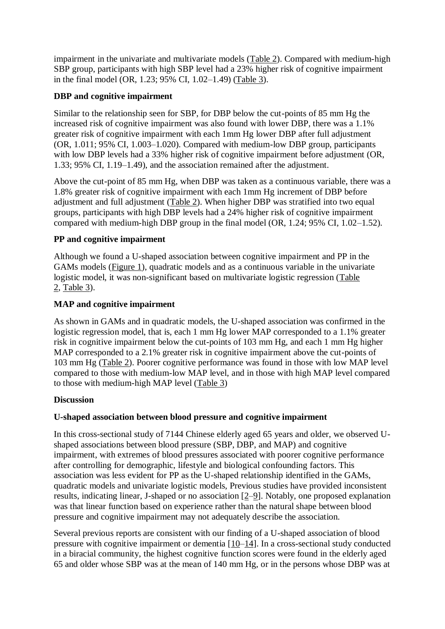impairment in the univariate and multivariate models (Table 2). Compared with medium-high SBP group, participants with high SBP level had a 23% higher risk of cognitive impairment in the final model (OR, 1.23; 95% CI, 1.02–1.49) (Table 3).

#### **DBP and cognitive impairment**

Similar to the relationship seen for SBP, for DBP below the cut-points of 85 mm Hg the increased risk of cognitive impairment was also found with lower DBP, there was a 1.1% greater risk of cognitive impairment with each 1mm Hg lower DBP after full adjustment (OR, 1.011; 95% CI, 1.003–1.020). Compared with medium-low DBP group, participants with low DBP levels had a 33% higher risk of cognitive impairment before adjustment (OR, 1.33; 95% CI, 1.19–1.49), and the association remained after the adjustment.

Above the cut-point of 85 mm Hg, when DBP was taken as a continuous variable, there was a 1.8% greater risk of cognitive impairment with each 1mm Hg increment of DBP before adjustment and full adjustment (Table 2). When higher DBP was stratified into two equal groups, participants with high DBP levels had a 24% higher risk of cognitive impairment compared with medium-high DBP group in the final model (OR, 1.24; 95% CI, 1.02–1.52).

#### **PP and cognitive impairment**

Although we found a U-shaped association between cognitive impairment and PP in the GAMs models (Figure 1), quadratic models and as a continuous variable in the univariate logistic model, it was non-significant based on multivariate logistic regression (Table 2, Table 3).

#### **MAP and cognitive impairment**

As shown in GAMs and in quadratic models, the U-shaped association was confirmed in the logistic regression model, that is, each 1 mm Hg lower MAP corresponded to a 1.1% greater risk in cognitive impairment below the cut-points of 103 mm Hg, and each 1 mm Hg higher MAP corresponded to a 2.1% greater risk in cognitive impairment above the cut-points of 103 mm Hg (Table 2). Poorer cognitive performance was found in those with low MAP level compared to those with medium-low MAP level, and in those with high MAP level compared to those with medium-high MAP level (Table 3)

#### **Discussion**

## **U-shaped association between blood pressure and cognitive impairment**

In this cross-sectional study of 7144 Chinese elderly aged 65 years and older, we observed Ushaped associations between blood pressure (SBP, DBP, and MAP) and cognitive impairment, with extremes of blood pressures associated with poorer cognitive performance after controlling for demographic, lifestyle and biological confounding factors. This association was less evident for PP as the U-shaped relationship identified in the GAMs, quadratic models and univariate logistic models, Previous studies have provided inconsistent results, indicating linear, J-shaped or no association [2–9]. Notably, one proposed explanation was that linear function based on experience rather than the natural shape between blood pressure and cognitive impairment may not adequately describe the association.

Several previous reports are consistent with our finding of a U-shaped association of blood pressure with cognitive impairment or dementia [10–14]. In a cross-sectional study conducted in a biracial community, the highest cognitive function scores were found in the elderly aged 65 and older whose SBP was at the mean of 140 mm Hg, or in the persons whose DBP was at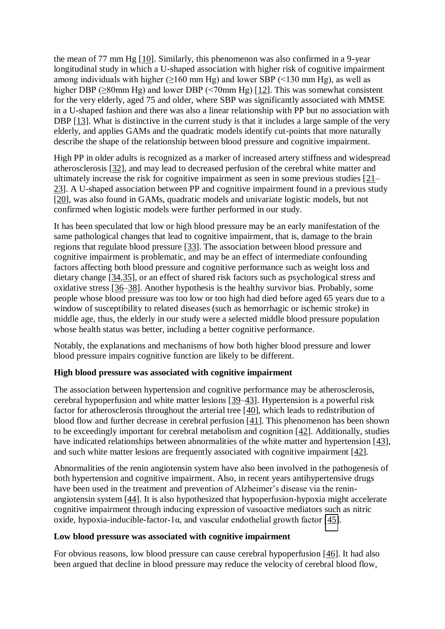the mean of 77 mm Hg [10]. Similarly, this phenomenon was also confirmed in a 9-year longitudinal study in which a U-shaped association with higher risk of cognitive impairment among individuals with higher ( $>160$  mm Hg) and lower SBP ( $\leq 130$  mm Hg), as well as higher DBP (≥80mm Hg) and lower DBP (<70mm Hg) [12]. This was somewhat consistent for the very elderly, aged 75 and older, where SBP was significantly associated with MMSE in a U-shaped fashion and there was also a linear relationship with PP but no association with DBP [13]. What is distinctive in the current study is that it includes a large sample of the very elderly, and applies GAMs and the quadratic models identify cut-points that more naturally describe the shape of the relationship between blood pressure and cognitive impairment.

High PP in older adults is recognized as a marker of increased artery stiffness and widespread atherosclerosis [32], and may lead to decreased perfusion of the cerebral white matter and ultimately increase the risk for cognitive impairment as seen in some previous studies [21– 23]. A U-shaped association between PP and cognitive impairment found in a previous study [20], was also found in GAMs, quadratic models and univariate logistic models, but not confirmed when logistic models were further performed in our study.

It has been speculated that low or high blood pressure may be an early manifestation of the same pathological changes that lead to cognitive impairment, that is, damage to the brain regions that regulate blood pressure [33]. The association between blood pressure and cognitive impairment is problematic, and may be an effect of intermediate confounding factors affecting both blood pressure and cognitive performance such as weight loss and dietary change [34,35], or an effect of shared risk factors such as psychological stress and oxidative stress [36–38]. Another hypothesis is the healthy survivor bias. Probably, some people whose blood pressure was too low or too high had died before aged 65 years due to a window of susceptibility to related diseases (such as hemorrhagic or ischemic stroke) in middle age, thus, the elderly in our study were a selected middle blood pressure population whose health status was better, including a better cognitive performance.

Notably, the explanations and mechanisms of how both higher blood pressure and lower blood pressure impairs cognitive function are likely to be different.

#### **High blood pressure was associated with cognitive impairment**

The association between hypertension and cognitive performance may be atherosclerosis, cerebral hypoperfusion and white matter lesions [39–43]. Hypertension is a powerful risk factor for atherosclerosis throughout the arterial tree [40], which leads to redistribution of blood flow and further decrease in cerebral perfusion [41]. This phenomenon has been shown to be exceedingly important for cerebral metabolism and cognition [42]. Additionally, studies have indicated relationships between abnormalities of the white matter and hypertension [43], and such white matter lesions are frequently associated with cognitive impairment [42].

Abnormalities of the renin angiotensin system have also been involved in the pathogenesis of both hypertension and cognitive impairment. Also, in recent years antihypertensive drugs have been used in the treatment and prevention of Alzheimer's disease via the reninangiotensin system [44]. It is also hypothesized that hypoperfusion-hypoxia might accelerate cognitive impairment through inducing expression of vasoactive mediators such as nitric oxide, hypoxia-inducible-factor-1 $\alpha$ , and vascular endothelial growth factor [[45\]](https://www.ncbi.nlm.nih.gov/pmc/articles/PMC5294228/#R45).

#### **Low blood pressure was associated with cognitive impairment**

For obvious reasons, low blood pressure can cause cerebral hypoperfusion [46]. It had also been argued that decline in blood pressure may reduce the velocity of cerebral blood flow,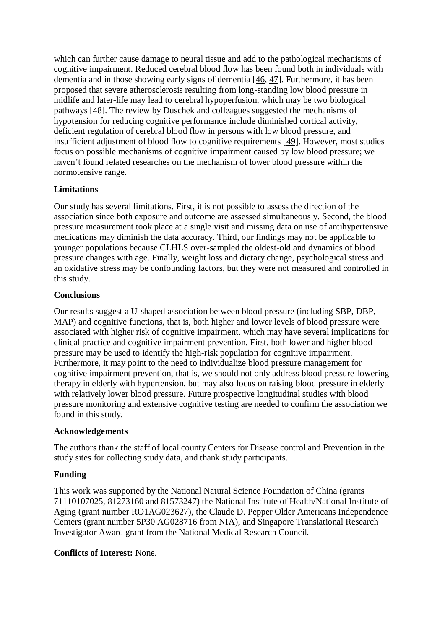which can further cause damage to neural tissue and add to the pathological mechanisms of cognitive impairment. Reduced cerebral blood flow has been found both in individuals with dementia and in those showing early signs of dementia [46, 47]. Furthermore, it has been proposed that severe atherosclerosis resulting from long-standing low blood pressure in midlife and later-life may lead to cerebral hypoperfusion, which may be two biological pathways [48]. The review by Duschek and colleagues suggested the mechanisms of hypotension for reducing cognitive performance include diminished cortical activity, deficient regulation of cerebral blood flow in persons with low blood pressure, and insufficient adjustment of blood flow to cognitive requirements [49]. However, most studies focus on possible mechanisms of cognitive impairment caused by low blood pressure; we haven't found related researches on the mechanism of lower blood pressure within the normotensive range.

## **Limitations**

Our study has several limitations. First, it is not possible to assess the direction of the association since both exposure and outcome are assessed simultaneously. Second, the blood pressure measurement took place at a single visit and missing data on use of antihypertensive medications may diminish the data accuracy. Third, our findings may not be applicable to younger populations because CLHLS over-sampled the oldest-old and dynamics of blood pressure changes with age. Finally, weight loss and dietary change, psychological stress and an oxidative stress may be confounding factors, but they were not measured and controlled in this study.

#### **Conclusions**

Our results suggest a U-shaped association between blood pressure (including SBP, DBP, MAP) and cognitive functions, that is, both higher and lower levels of blood pressure were associated with higher risk of cognitive impairment, which may have several implications for clinical practice and cognitive impairment prevention. First, both lower and higher blood pressure may be used to identify the high-risk population for cognitive impairment. Furthermore, it may point to the need to individualize blood pressure management for cognitive impairment prevention, that is, we should not only address blood pressure-lowering therapy in elderly with hypertension, but may also focus on raising blood pressure in elderly with relatively lower blood pressure. Future prospective longitudinal studies with blood pressure monitoring and extensive cognitive testing are needed to confirm the association we found in this study.

#### **Acknowledgements**

The authors thank the staff of local county Centers for Disease control and Prevention in the study sites for collecting study data, and thank study participants.

## **Funding**

This work was supported by the National Natural Science Foundation of China (grants 71110107025, 81273160 and 81573247) the National Institute of Health/National Institute of Aging (grant number RO1AG023627), the Claude D. Pepper Older Americans Independence Centers (grant number 5P30 AG028716 from NIA), and Singapore Translational Research Investigator Award grant from the National Medical Research Council.

#### **Conflicts of Interest:** None.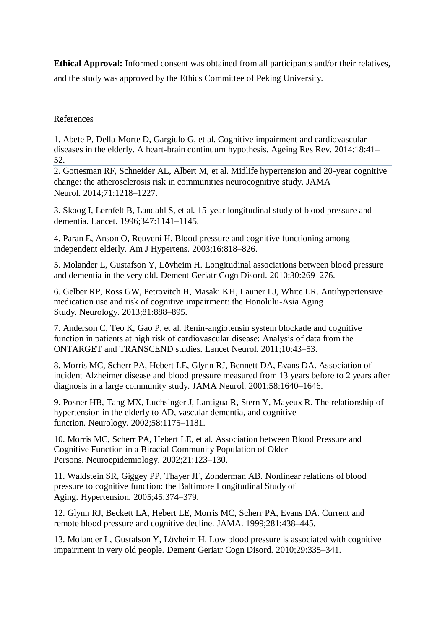**Ethical Approval:** Informed consent was obtained from all participants and/or their relatives, and the study was approved by the Ethics Committee of Peking University.

#### References

1. Abete P, Della-Morte D, Gargiulo G, et al. Cognitive impairment and cardiovascular diseases in the elderly. A heart-brain continuum hypothesis. Ageing Res Rev. 2014;18:41– 52.

2. Gottesman RF, Schneider AL, Albert M, et al. Midlife hypertension and 20-year cognitive change: the atherosclerosis risk in communities neurocognitive study. JAMA Neurol. 2014;71:1218–1227.

3. Skoog I, Lernfelt B, Landahl S, et al. 15-year longitudinal study of blood pressure and dementia. Lancet. 1996;347:1141–1145.

4. Paran E, Anson O, Reuveni H. Blood pressure and cognitive functioning among independent elderly. Am J Hypertens. 2003;16:818–826.

5. Molander L, Gustafson Y, Lövheim H. Longitudinal associations between blood pressure and dementia in the very old. Dement Geriatr Cogn Disord. 2010;30:269–276.

6. Gelber RP, Ross GW, Petrovitch H, Masaki KH, Launer LJ, White LR. Antihypertensive medication use and risk of cognitive impairment: the Honolulu-Asia Aging Study. Neurology. 2013;81:888–895.

7. Anderson C, Teo K, Gao P, et al. Renin-angiotensin system blockade and cognitive function in patients at high risk of cardiovascular disease: Analysis of data from the ONTARGET and TRANSCEND studies. Lancet Neurol. 2011;10:43–53.

8. Morris MC, Scherr PA, Hebert LE, Glynn RJ, Bennett DA, Evans DA. Association of incident Alzheimer disease and blood pressure measured from 13 years before to 2 years after diagnosis in a large community study. JAMA Neurol. 2001;58:1640–1646.

9. Posner HB, Tang MX, Luchsinger J, Lantigua R, Stern Y, Mayeux R. The relationship of hypertension in the elderly to AD, vascular dementia, and cognitive function. Neurology. 2002;58:1175–1181.

10. Morris MC, Scherr PA, Hebert LE, et al. Association between Blood Pressure and Cognitive Function in a Biracial Community Population of Older Persons. Neuroepidemiology. 2002;21:123–130.

11. Waldstein SR, Giggey PP, Thayer JF, Zonderman AB. Nonlinear relations of blood pressure to cognitive function: the Baltimore Longitudinal Study of Aging. Hypertension. 2005;45:374–379.

12. Glynn RJ, Beckett LA, Hebert LE, Morris MC, Scherr PA, Evans DA. Current and remote blood pressure and cognitive decline. JAMA. 1999;281:438–445.

13. Molander L, Gustafson Y, Lövheim H. Low blood pressure is associated with cognitive impairment in very old people. Dement Geriatr Cogn Disord. 2010;29:335–341.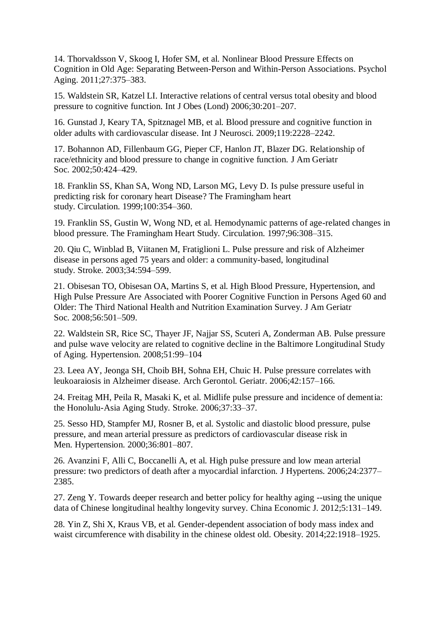14. Thorvaldsson V, Skoog I, Hofer SM, et al. Nonlinear Blood Pressure Effects on Cognition in Old Age: Separating Between-Person and Within-Person Associations. Psychol Aging. 2011;27:375–383.

15. Waldstein SR, Katzel LI. Interactive relations of central versus total obesity and blood pressure to cognitive function. Int J Obes (Lond) 2006;30:201–207.

16. Gunstad J, Keary TA, Spitznagel MB, et al. Blood pressure and cognitive function in older adults with cardiovascular disease. Int J Neurosci. 2009;119:2228–2242.

17. Bohannon AD, Fillenbaum GG, Pieper CF, Hanlon JT, Blazer DG. Relationship of race/ethnicity and blood pressure to change in cognitive function. J Am Geriatr Soc. 2002;50:424–429.

18. Franklin SS, Khan SA, Wong ND, Larson MG, Levy D. Is pulse pressure useful in predicting risk for coronary heart Disease? The Framingham heart study. Circulation. 1999;100:354–360.

19. Franklin SS, Gustin W, Wong ND, et al. Hemodynamic patterns of age-related changes in blood pressure. The Framingham Heart Study. Circulation. 1997;96:308–315.

20. Qiu C, Winblad B, Viitanen M, Fratiglioni L. Pulse pressure and risk of Alzheimer disease in persons aged 75 years and older: a community-based, longitudinal study. Stroke. 2003;34:594–599.

21. Obisesan TO, Obisesan OA, Martins S, et al. High Blood Pressure, Hypertension, and High Pulse Pressure Are Associated with Poorer Cognitive Function in Persons Aged 60 and Older: The Third National Health and Nutrition Examination Survey. J Am Geriatr Soc. 2008;56:501–509.

22. Waldstein SR, Rice SC, Thayer JF, Najjar SS, Scuteri A, Zonderman AB. Pulse pressure and pulse wave velocity are related to cognitive decline in the Baltimore Longitudinal Study of Aging. Hypertension. 2008;51:99–104

23. Leea AY, Jeonga SH, Choib BH, Sohna EH, Chuic H. Pulse pressure correlates with leukoaraiosis in Alzheimer disease. Arch Gerontol. Geriatr. 2006;42:157–166.

24. Freitag MH, Peila R, Masaki K, et al. Midlife pulse pressure and incidence of dementia: the Honolulu-Asia Aging Study. Stroke. 2006;37:33–37.

25. Sesso HD, Stampfer MJ, Rosner B, et al. Systolic and diastolic blood pressure, pulse pressure, and mean arterial pressure as predictors of cardiovascular disease risk in Men. Hypertension. 2000;36:801–807.

26. Avanzini F, Alli C, Boccanelli A, et al. High pulse pressure and low mean arterial pressure: two predictors of death after a myocardial infarction. J Hypertens. 2006;24:2377– 2385.

27. Zeng Y. Towards deeper research and better policy for healthy aging --using the unique data of Chinese longitudinal healthy longevity survey. China Economic J. 2012;5:131–149.

28. Yin Z, Shi X, Kraus VB, et al. Gender-dependent association of body mass index and waist circumference with disability in the chinese oldest old. Obesity. 2014;22:1918–1925.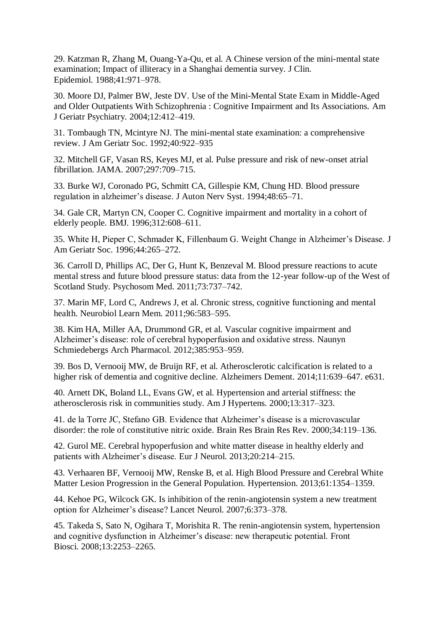29. Katzman R, Zhang M, Ouang-Ya-Qu, et al. A Chinese version of the mini-mental state examination; Impact of illiteracy in a Shanghai dementia survey. J Clin. Epidemiol. 1988;41:971–978.

30. Moore DJ, Palmer BW, Jeste DV. Use of the Mini-Mental State Exam in Middle-Aged and Older Outpatients With Schizophrenia : Cognitive Impairment and Its Associations. Am J Geriatr Psychiatry. 2004;12:412–419.

31. Tombaugh TN, Mcintyre NJ. The mini-mental state examination: a comprehensive review. J Am Geriatr Soc. 1992;40:922–935

32. Mitchell GF, Vasan RS, Keyes MJ, et al. Pulse pressure and risk of new-onset atrial fibrillation. JAMA. 2007;297:709–715.

33. Burke WJ, Coronado PG, Schmitt CA, Gillespie KM, Chung HD. Blood pressure regulation in alzheimer's disease. J Auton Nerv Syst. 1994;48:65–71.

34. Gale CR, Martyn CN, Cooper C. Cognitive impairment and mortality in a cohort of elderly people. BMJ. 1996;312:608–611.

35. White H, Pieper C, Schmader K, Fillenbaum G. Weight Change in Alzheimer's Disease. J Am Geriatr Soc. 1996;44:265–272.

36. Carroll D, Phillips AC, Der G, Hunt K, Benzeval M. Blood pressure reactions to acute mental stress and future blood pressure status: data from the 12-year follow-up of the West of Scotland Study. Psychosom Med. 2011;73:737–742.

37. Marin MF, Lord C, Andrews J, et al. Chronic stress, cognitive functioning and mental health. Neurobiol Learn Mem. 2011;96:583–595.

38. Kim HA, Miller AA, Drummond GR, et al. Vascular cognitive impairment and Alzheimer's disease: role of cerebral hypoperfusion and oxidative stress. Naunyn Schmiedebergs Arch Pharmacol. 2012;385:953–959.

39. Bos D, Vernooij MW, de Bruijn RF, et al. Atherosclerotic calcification is related to a higher risk of dementia and cognitive decline. Alzheimers Dement. 2014;11:639–647. e631.

40. Arnett DK, Boland LL, Evans GW, et al. Hypertension and arterial stiffness: the atherosclerosis risk in communities study. Am J Hypertens. 2000;13:317–323.

41. de la Torre JC, Stefano GB. Evidence that Alzheimer's disease is a microvascular disorder: the role of constitutive nitric oxide. Brain Res Brain Res Rev. 2000;34:119–136.

42. Gurol ME. Cerebral hypoperfusion and white matter disease in healthy elderly and patients with Alzheimer's disease. Eur J Neurol. 2013;20:214–215.

43. Verhaaren BF, Vernooij MW, Renske B, et al. High Blood Pressure and Cerebral White Matter Lesion Progression in the General Population. Hypertension. 2013;61:1354–1359.

44. Kehoe PG, Wilcock GK. Is inhibition of the renin-angiotensin system a new treatment option for Alzheimer's disease? Lancet Neurol. 2007;6:373–378.

45. Takeda S, Sato N, Ogihara T, Morishita R. The renin-angiotensin system, hypertension and cognitive dysfunction in Alzheimer's disease: new therapeutic potential. Front Biosci. 2008;13:2253–2265.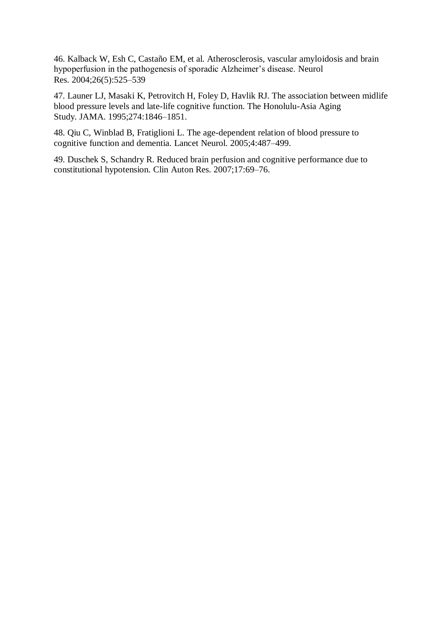46. Kalback W, Esh C, Castaño EM, et al. Atherosclerosis, vascular amyloidosis and brain hypoperfusion in the pathogenesis of sporadic Alzheimer's disease. Neurol Res. 2004;26(5):525–539

47. Launer LJ, Masaki K, Petrovitch H, Foley D, Havlik RJ. The association between midlife blood pressure levels and late-life cognitive function. The Honolulu-Asia Aging Study. JAMA. 1995;274:1846–1851.

48. Qiu C, Winblad B, Fratiglioni L. The age-dependent relation of blood pressure to cognitive function and dementia. Lancet Neurol. 2005;4:487–499.

49. Duschek S, Schandry R. Reduced brain perfusion and cognitive performance due to constitutional hypotension. Clin Auton Res. 2007;17:69–76.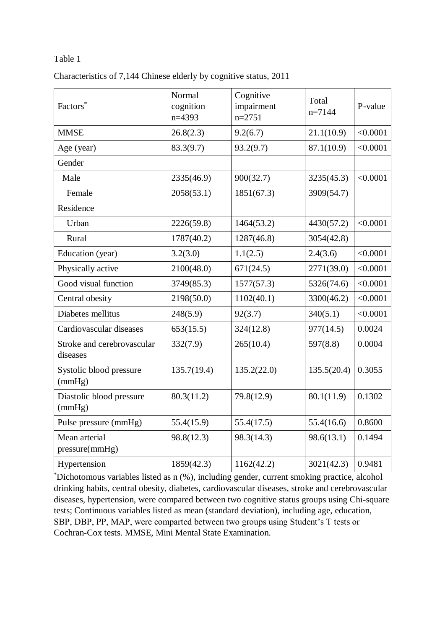#### Table 1

| Factors*                               | Normal<br>cognition<br>$n=4393$ | Cognitive<br>impairment<br>$n=2751$ | Total<br>$n=7144$ | P-value  |
|----------------------------------------|---------------------------------|-------------------------------------|-------------------|----------|
| <b>MMSE</b>                            | 26.8(2.3)                       | 9.2(6.7)                            | 21.1(10.9)        | < 0.0001 |
| Age (year)                             | 83.3(9.7)                       | 93.2(9.7)                           | 87.1(10.9)        | < 0.0001 |
| Gender                                 |                                 |                                     |                   |          |
| Male                                   | 2335(46.9)                      | 900(32.7)                           | 3235(45.3)        | < 0.0001 |
| Female                                 | 2058(53.1)                      | 1851(67.3)                          | 3909(54.7)        |          |
| Residence                              |                                 |                                     |                   |          |
| Urban                                  | 2226(59.8)                      | 1464(53.2)                          | 4430(57.2)        | < 0.0001 |
| Rural                                  | 1787(40.2)                      | 1287(46.8)                          | 3054(42.8)        |          |
| Education (year)                       | 3.2(3.0)                        | 1.1(2.5)                            | 2.4(3.6)          | < 0.0001 |
| Physically active                      | 2100(48.0)                      | 671(24.5)                           | 2771(39.0)        | < 0.0001 |
| Good visual function                   | 3749(85.3)                      | 1577(57.3)                          | 5326(74.6)        | < 0.0001 |
| Central obesity                        | 2198(50.0)                      | 1102(40.1)                          | 3300(46.2)        | < 0.0001 |
| Diabetes mellitus                      | 248(5.9)                        | 92(3.7)                             | 340(5.1)          | < 0.0001 |
| Cardiovascular diseases                | 653(15.5)                       | 324(12.8)                           | 977(14.5)         | 0.0024   |
| Stroke and cerebrovascular<br>diseases | 332(7.9)                        | 265(10.4)                           | 597(8.8)          | 0.0004   |
| Systolic blood pressure<br>(mmHg)      | 135.7(19.4)                     | 135.2(22.0)                         | 135.5(20.4)       | 0.3055   |
| Diastolic blood pressure<br>(mmHg)     | 80.3(11.2)                      | 79.8(12.9)                          | 80.1(11.9)        | 0.1302   |
| Pulse pressure (mmHg)                  | 55.4(15.9)                      | 55.4(17.5)                          | 55.4(16.6)        | 0.8600   |
| Mean arterial<br>pressure(mmHg)        | 98.8(12.3)                      | 98.3(14.3)                          | 98.6(13.1)        | 0.1494   |
| Hypertension                           | 1859(42.3)                      | 1162(42.2)                          | 3021(42.3)        | 0.9481   |

\*Dichotomous variables listed as n (%), including gender, current smoking practice, alcohol drinking habits, central obesity, diabetes, cardiovascular diseases, stroke and cerebrovascular diseases, hypertension, were compared between two cognitive status groups using Chi-square tests; Continuous variables listed as mean (standard deviation), including age, education, SBP, DBP, PP, MAP, were comparted between two groups using Student's T tests or Cochran-Cox tests. MMSE, Mini Mental State Examination.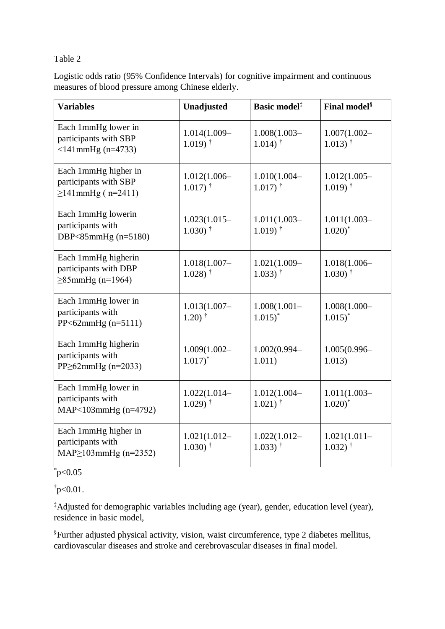#### Table 2

| Logistic odds ratio (95% Confidence Intervals) for cognitive impairment and continuous |
|----------------------------------------------------------------------------------------|
| measures of blood pressure among Chinese elderly.                                      |

| <b>Variables</b>                                                          | Unadjusted                              | Basic model <sup>‡</sup>                 | <b>Final model</b> <sup>§</sup>          |
|---------------------------------------------------------------------------|-----------------------------------------|------------------------------------------|------------------------------------------|
| Each 1mmHg lower in<br>participants with SBP<br>$<$ 141 $mmHg$ (n=4733)   | 1.014(1.009-<br>$1.019$ <sup>†</sup>    | $1.008(1.003 -$<br>$1.014$ <sup>†</sup>  | $1.007(1.002 -$<br>$1.013)$ <sup>†</sup> |
| Each 1mmHg higher in<br>participants with SBP<br>$\geq 141$ mmHg (n=2411) | $1.012(1.006 -$<br>$1.017$ <sup>†</sup> | 1.010(1.004-<br>$1.017$ <sup>†</sup>     | $1.012(1.005 -$<br>$1.019$ <sup>†</sup>  |
| Each 1mmHg lowerin<br>participants with<br>DBP<85mmHg (n=5180)            | $1.023(1.015-$<br>$1.030$ <sup>†</sup>  | $1.011(1.003-$<br>$1.019)$ <sup>†</sup>  | $1.011(1.003-$<br>$1.020$ <sup>*</sup>   |
| Each 1mmHg higherin<br>participants with DBP<br>$\geq 85$ mmHg (n=1964)   | $1.018(1.007 -$<br>$1.028$ <sup>†</sup> | 1.021(1.009-<br>$1.033)$ <sup>†</sup>    | $1.018(1.006 -$<br>$1.030$ <sup>†</sup>  |
| Each 1mmHg lower in<br>participants with<br>$PP < 62$ mmHg (n=5111)       | $1.013(1.007 -$<br>$1.20$ <sup>†</sup>  | $1.008(1.001 -$<br>$1.015$ <sup>*</sup>  | $1.008(1.000 -$<br>$1.015$ <sup>*</sup>  |
| Each 1mmHg higherin<br>participants with<br>$PP \geq 62$ mmHg (n=2033)    | $1.009(1.002 -$<br>$1.017$ <sup>*</sup> | 1.002(0.994-<br>1.011)                   | $1.005(0.996 -$<br>1.013)                |
| Each 1mmHg lower in<br>participants with<br>MAP<103mmHg (n=4792)          | $1.022(1.014 -$<br>$1.029$ <sup>†</sup> | 1.012(1.004-<br>$1.021$ <sup>†</sup>     | $1.011(1.003-$<br>$1.020$ <sup>*</sup>   |
| Each 1mmHg higher in<br>participants with<br>$MAP \ge 103mmHg (n=2352)$   | $1.021(1.012 -$<br>$1.030$ <sup>†</sup> | $1.022(1.012 -$<br>$1.033)$ <sup>†</sup> | $1.021(1.011 -$<br>$1.032$ <sup>†</sup>  |

 $p < 0.05$ 

 $\frac{1}{2}$ p<0.01.

‡Adjusted for demographic variables including age (year), gender, education level (year), residence in basic model,

§Further adjusted physical activity, vision, waist circumference, type 2 diabetes mellitus, cardiovascular diseases and stroke and cerebrovascular diseases in final model.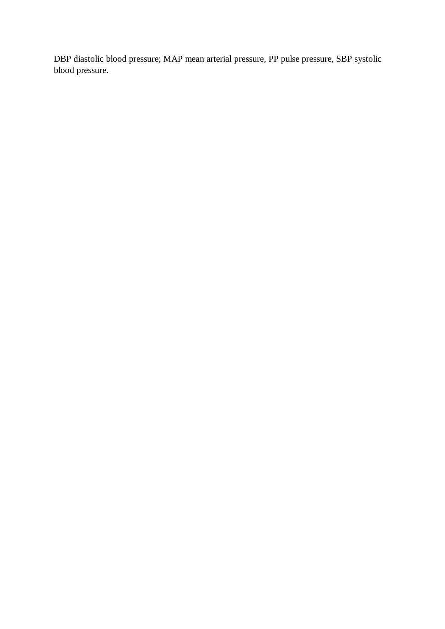DBP diastolic blood pressure; MAP mean arterial pressure, PP pulse pressure, SBP systolic blood pressure.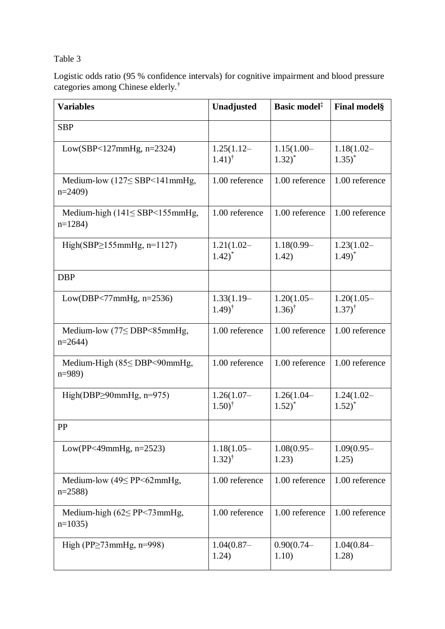## Table 3

Logistic odds ratio (95 % confidence intervals) for cognitive impairment and blood pressure categories among Chinese elderly.†

| <b>Variables</b>                                     | Unadjusted                            | Basic model <sup>‡</sup>             | <b>Final model</b> §                 |
|------------------------------------------------------|---------------------------------------|--------------------------------------|--------------------------------------|
| <b>SBP</b>                                           |                                       |                                      |                                      |
| Low(SBP<127mmHg, $n=2324$ )                          | $1.25(1.12-$<br>$(1.41)^{\dagger}$    | $1.15(1.00 -$<br>$1.32)$ *           | $1.18(1.02 -$<br>$1.35$ <sup>*</sup> |
| Medium-low $(127 \leq$ SBP < 141 mmHg,<br>$n=2409$   | 1.00 reference                        | 1.00 reference                       | 1.00 reference                       |
| Medium-high $(141 \leq SBP < 155$ mmHg,<br>$n=1284$  | 1.00 reference                        | 1.00 reference                       | 1.00 reference                       |
| High(SBP $\geq$ 155mmHg, n=1127)                     | $1.21(1.02 -$<br>$1.42$ <sup>*</sup>  | $1.18(0.99 -$<br>1.42)               | $1.23(1.02 -$<br>$1.49$ <sup>*</sup> |
| <b>DBP</b>                                           |                                       |                                      |                                      |
| Low(DBP<77 $mmHg$ , $n=2536$ )                       | $1.33(1.19-$<br>$(1.49)^{\dagger}$    | $1.20(1.05 -$<br>$1.36$ <sup>†</sup> | $1.20(1.05 -$<br>$(1.37)^{\dagger}$  |
| Medium-low $(77 \leq$ DBP $\leq$ 85mmHg,<br>$n=2644$ | 1.00 reference                        | 1.00 reference                       | 1.00 reference                       |
| Medium-High $(85 \leq DBP \leq 90$ mmHg,<br>$n=989$  | 1.00 reference                        | 1.00 reference                       | 1.00 reference                       |
| High(DBP $\geq$ 90mmHg, n=975)                       | $1.26(1.07 -$<br>$1.50$ <sup>†</sup>  | $1.26(1.04 -$<br>$1.52)$ *           | $1.24(1.02 -$<br>$1.52$ <sup>*</sup> |
| PP                                                   |                                       |                                      |                                      |
| Low(PP<49mmHg, $n=2523$ )                            | $1.18(1.05 -$<br>$1.32)$ <sup>†</sup> | $1.08(0.95 -$<br>1.23)               | $1.09(0.95 -$<br>1.25)               |
| Medium-low $(49\le PP<62mmHg,$<br>$n=2588$           | 1.00 reference                        | 1.00 reference                       | 1.00 reference                       |
| Medium-high $(62 \le PP \le 73$ mmHg,<br>$n=1035$    | 1.00 reference                        | 1.00 reference                       | 1.00 reference                       |
| High (PP $\geq$ 73mmHg, n=998)                       | $1.04(0.87 -$<br>1.24)                | $0.90(0.74 -$<br>1.10)               | $1.04(0.84 -$<br>1.28)               |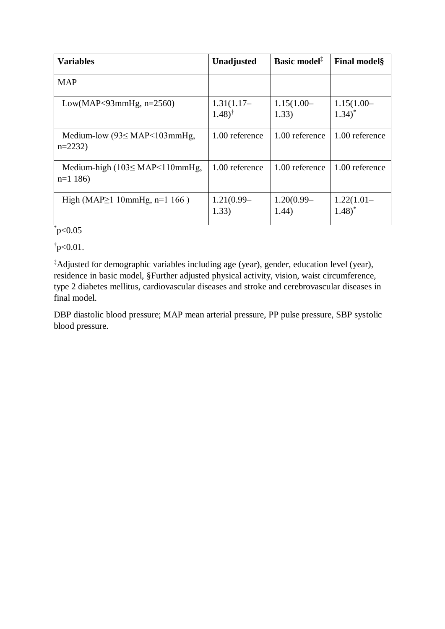| <b>Variables</b>                                                    | Unadjusted                         | Basic model <sup>#</sup> | <b>Final models</b>                  |
|---------------------------------------------------------------------|------------------------------------|--------------------------|--------------------------------------|
| <b>MAP</b>                                                          |                                    |                          |                                      |
| Low(MAP<93mmHg, $n=2560$ )                                          | $1.31(1.17-$<br>$(1.48)^{\dagger}$ | $1.15(1.00 -$<br>1.33)   | $1.15(1.00 -$<br>$1.34$ <sup>*</sup> |
| Medium-low $(93 \leq \text{MAP} < 103 \text{mmHg})$ ,<br>$n=2232$   | 1.00 reference                     | 1.00 reference           | 1.00 reference                       |
| Medium-high $(103 \leq \text{MAP} < 110 \text{mmHg})$<br>$n=1$ 186) | 1.00 reference                     | 1.00 reference           | 1.00 reference                       |
| High (MAP $\geq$ 1 10mmHg, n=1 166 )                                | $1.21(0.99 -$<br>1.33)             | $1.20(0.99 -$<br>1.44)   | $1.22(1.01 -$<br>$1.48$ <sup>*</sup> |

## $*_{\text{p}<0.05}$

 $\frac{1}{2}$ p<0.01.

‡Adjusted for demographic variables including age (year), gender, education level (year), residence in basic model, §Further adjusted physical activity, vision, waist circumference, type 2 diabetes mellitus, cardiovascular diseases and stroke and cerebrovascular diseases in final model.

DBP diastolic blood pressure; MAP mean arterial pressure, PP pulse pressure, SBP systolic blood pressure.